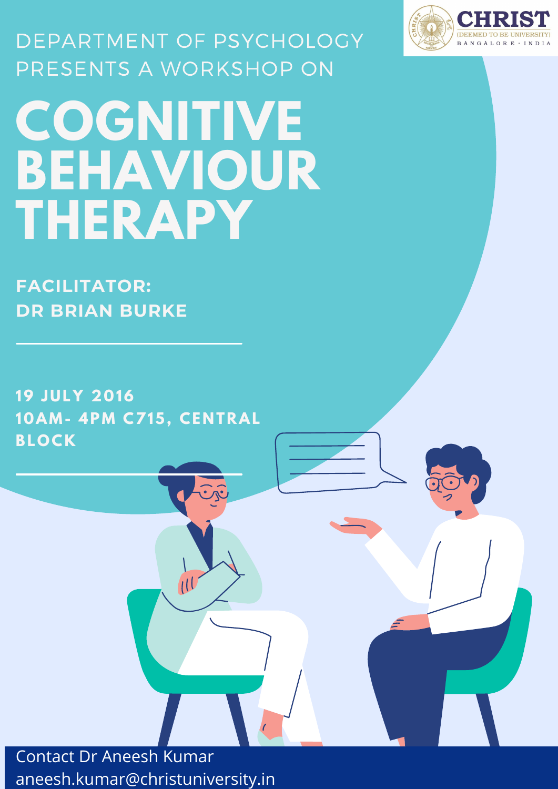## **COGNITIVE BEHAVIOUR THERAPY** DEPARTMENT OF PSYCHOLOGY PRESENTS A WORKSHOP ON

**19 J U L Y 20 16 1 0AM- 4PM C715, CE N T RAL**





**FACILITATOR: DR BRIAN BURKE**

Contact Dr Aneesh Kumar aneesh.kumar@christuniversity.in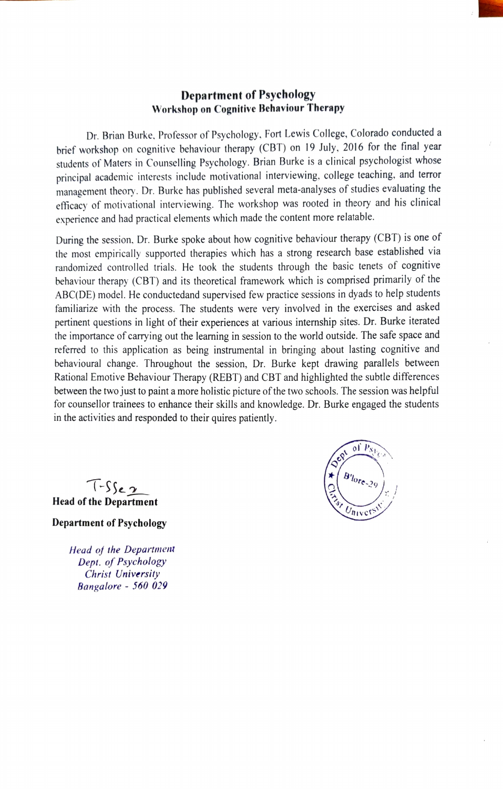## Department of Psychology Workshop on Cognitive Behaviour Therapy

Dr. Brian Burke. Professor of Psychology. Fort Lewis College, Colorado conducted a brief workshop on cognitive behaviour therapy (CBT) on 19 July, 2016 for the final year students of Maters in Counselling Psychology. Brian Burke is a clinical psychologist whose principal academic interests include motivational interviewing, college teaching, and terror management theory. Dr. Burke has published several meta-analyses of studies evaluating the efficacy of motivational interviewing. The workshop was rooted in theory and his clinical experience and had practical elements which made the content more relatable.

During the session. Dr. Burke spoke about how cognitive behaviour therapy (CBT) is one of the most empirically supported therapies which has a strong research base established via randomized controlled trials. He took he students through the basic tenets of cognitive behaviour therapy (CBT) and its theoretical framework which is comprised primarily of the ABC(DE) model. He conductedand supervised few practice sessions in dyads to help students familiarize with the process. The students were very involved in the exercises and asked pertinent questions in light of their experiences at various internship sites. Dr. Burke îterated the importance of carrying out the learning in session to the world outside. The safe space and referred to this application as being instrumental in bringing about lasting cognitive and behavioural change. Throughout the session, Dr. Burke kept drawing parallels between Rational Emotive Behaviour Therapy (REBT) and CBT and highlighted the subtle differences between the two just to paint a more holistic picture of the two schools. The session was helpful for counsellor trainees to enhance their skills and knowledge. Dr. Burke engaged the students in the activities and responded to their quires patiently.

of  $P_{S_1}$  $\sim$ TIst

 $T-S$ Se  $2\pi$ <br>the Department Head of the Department

Department of Psycholog

Head of the Departmem Dept. of Psychology Christ University Bangalore - 560 029